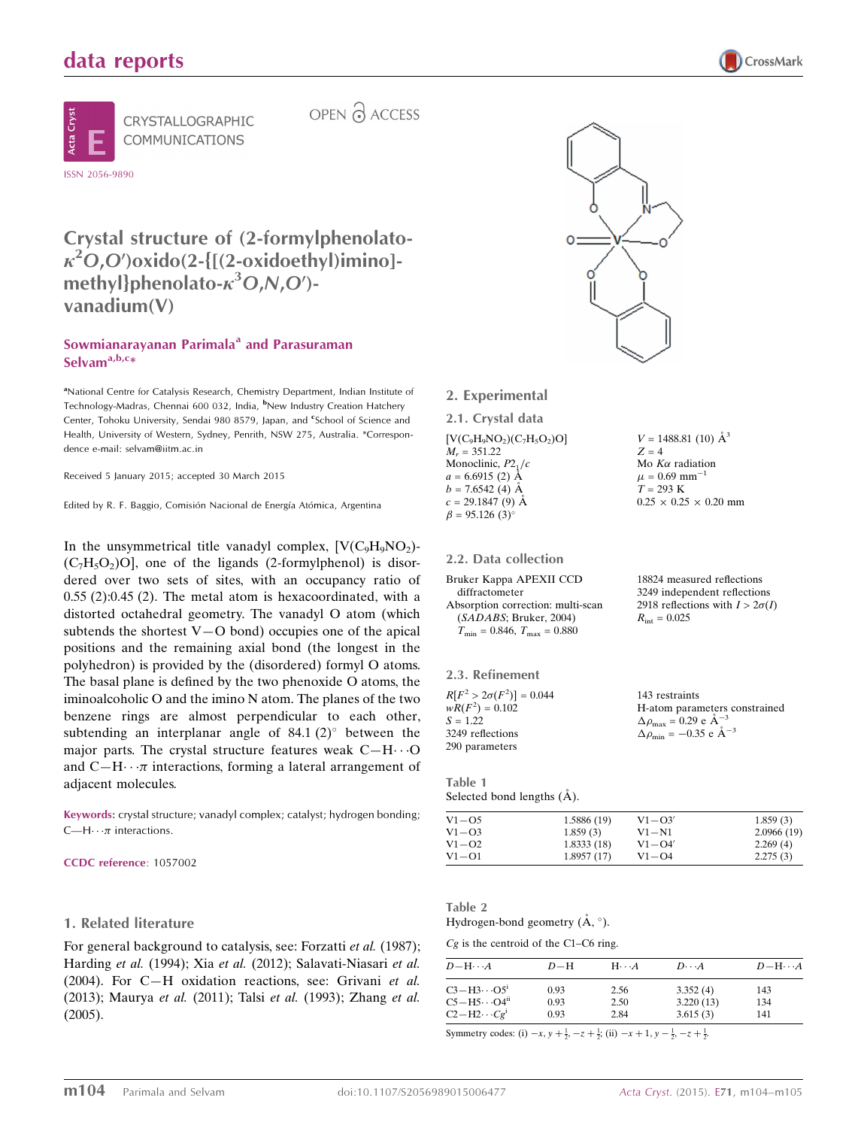# data reports





CRYSTALLOGRAPHIC

OPEN & ACCESS

# Crystal structure of (2-formylphenolato- $\kappa^2$ O,O')oxido(2-{[(2-oxidoethyl)imino]methyl}phenolato- $\kappa^3$ O,N,O')vanadium(V)

# Sowmianarayanan Parimala<sup>a</sup> and Parasuraman Selvam<sup>a,b,c</sup>\*

<sup>a</sup>National Centre for Catalysis Research, Chemistry Department, Indian Institute of Technology-Madras, Chennai 600 032, India, <sup>b</sup>New Industry Creation Hatchery Center, Tohoku University, Sendai 980 8579, Japan, and <sup>e</sup>School of Science and Health, University of Western, Sydney, Penrith, NSW 275, Australia. \*Correspondence e-mail: selvam@iitm.ac.in

Received 5 January 2015; accepted 30 March 2015

Edited by R. F. Baggio, Comisión Nacional de Energía Atómica, Argentina

In the unsymmetrical title vanadyl complex,  $[V(C_9H_9NO_2) (C_7H_5O_2)$ O], one of the ligands (2-formylphenol) is disordered over two sets of sites, with an occupancy ratio of 0.55 (2):0.45 (2). The metal atom is hexacoordinated, with a distorted octahedral geometry. The vanadyl O atom (which subtends the shortest  $V-O$  bond) occupies one of the apical positions and the remaining axial bond (the longest in the polyhedron) is provided by the (disordered) formyl O atoms. The basal plane is defined by the two phenoxide O atoms, the iminoalcoholic O and the imino N atom. The planes of the two benzene rings are almost perpendicular to each other, subtending an interplanar angle of  $84.1$  (2) $^{\circ}$  between the major parts. The crystal structure features weak  $C-H\cdots O$ and  $C-H\cdots\pi$  interactions, forming a lateral arrangement of adjacent molecules.

Keywords: crystal structure; vanadyl complex; catalyst; hydrogen bonding;  $C$ —H $\cdots$  $\pi$  interactions.

CCDC reference: 1057002

#### 1. Related literature

For general background to catalysis, see: Forzatti *et al.* (1987); Harding et al. (1994); Xia et al. (2012); Salavati-Niasari et al. (2004). For C—H oxidation reactions, see: Grivani et al. (2013); Maurya et al. (2011); Talsi et al. (1993); Zhang et al. (2005).



 $V = 1488.81(10)$   $\AA^3$ 

 $0.25 \times 0.25 \times 0.20$  mm

18824 measured reflections 3249 independent reflections 2918 reflections with  $I > 2\sigma(I)$ 

Mo  $K\alpha$  radiation  $\mu$  = 0.69 mm<sup>-1</sup>  $T = 293 \text{ K}$ 

 $R_{\text{int}} = 0.025$ 

 $Z = 4$ 

2. Experimental

2.1. Crystal data  $[V(C_9H_9NO_2)(C_7H_5O_2)O]$  $M_r = 351.22$ Monoclinic,  $P2<sub>1</sub>/c$  $a = 6.6915(2)$  Å  $b = 7.6542(4)$  Å  $c = 29.1847(9)$  Å

2.2. Data collection

 $\beta = 95.126$  (3)<sup>o</sup>

Bruker Kappa APEXII CCD diffractometer Absorption correction: multi-scan (SADABS; Bruker, 2004)  $T_{\text{min}} = 0.846, T_{\text{max}} = 0.880$ 

| 2.3. Refinement                 |                                                                                                                               |
|---------------------------------|-------------------------------------------------------------------------------------------------------------------------------|
| $R[F^2 > 2\sigma(F^2)] = 0.044$ | 143 restraints                                                                                                                |
| $wR(F^2) = 0.102$               | H-atom parameters constrained                                                                                                 |
| $S = 1.22$                      | $\Delta \rho_{\text{max}} = 0.29 \text{ e } \text{\AA}^{-3}$<br>$\Delta \rho_{\text{min}} = -0.35 \text{ e } \text{\AA}^{-3}$ |
| 3249 reflections                |                                                                                                                               |
| 290 parameters                  |                                                                                                                               |

Table 1 Selected bond lengths  $(\AA)$ .

| $V1 - O5$      | 1.5886 (19) | $V1 - O3'$ | 1.859(3)   |
|----------------|-------------|------------|------------|
| $V1-\text{O}3$ | 1.859(3)    | $V1 - N1$  | 2.0966(19) |
| $V1 - Q2$      | 1.8333(18)  | $V1 - Q4'$ | 2.269(4)   |
| $V1 - O1$      | 1.8957(17)  | $V1 - O4$  | 2.275(3)   |

# Table 2

Hydrogen-bond geometry  $(\AA, \degree)$ .

 $Cg$  is the centroid of the C1–C6 ring.

| $D-H$ | $H\cdots A$ | $D\cdots A$ | $D - H \cdots A$ |
|-------|-------------|-------------|------------------|
| 0.93  | 2.56        | 3.352(4)    | 143              |
| 0.93  | 2.50        | 3.220(13)   | 134              |
| 0.93  | 2.84        | 3.615(3)    | 141              |
|       |             |             |                  |

Symmetry codes: (i)  $-x, y + \frac{1}{2}, -z + \frac{1}{2}$ ; (ii)  $-x + 1, y - \frac{1}{2}, -z + \frac{1}{2}$ .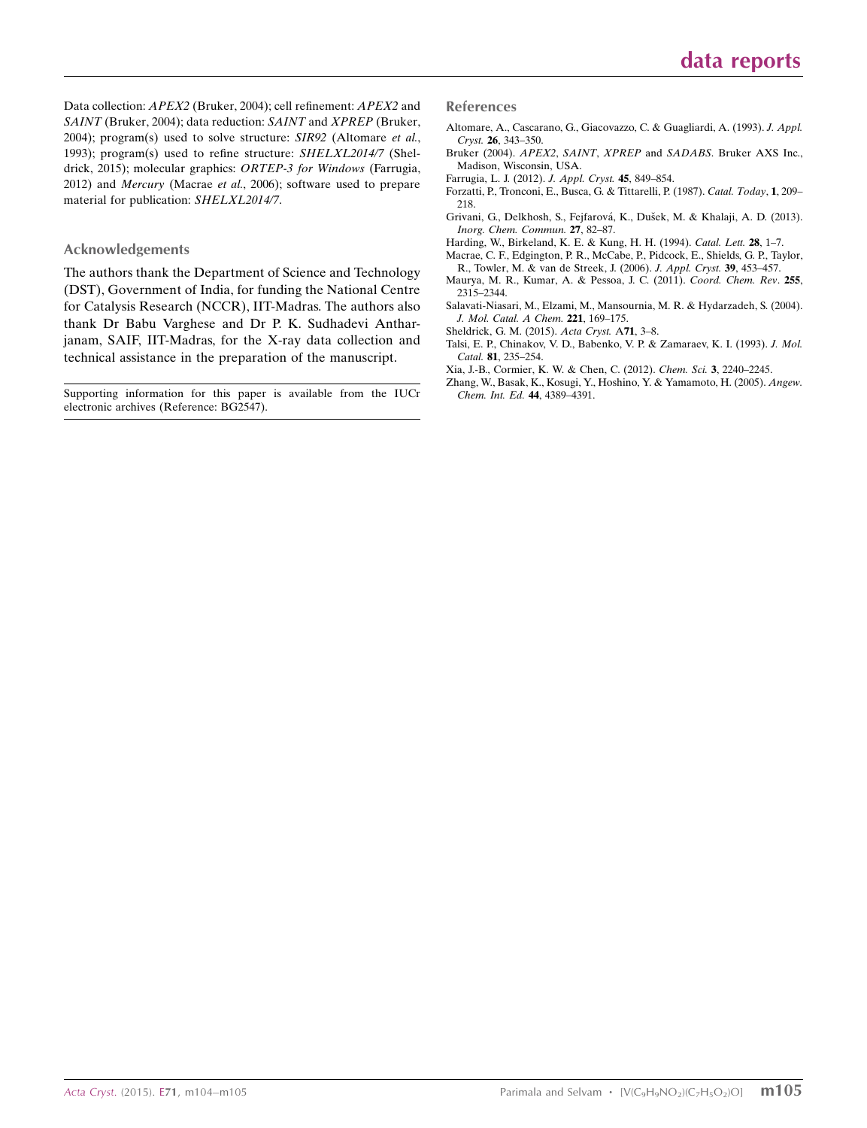Data collection: APEX2 (Bruker, 2004); cell refinement: APEX2 and SAINT (Bruker, 2004); data reduction: SAINT and XPREP (Bruker, 2004); program(s) used to solve structure: SIR92 (Altomare et al., 1993); program(s) used to refine structure: SHELXL2014/7 (Sheldrick, 2015); molecular graphics: ORTEP-3 for Windows (Farrugia, 2012) and Mercury (Macrae et al., 2006); software used to prepare material for publication: SHELXL2014/7.

#### Acknowledgements

The authors thank the Department of Science and Technology (DST), Government of India, for funding the National Centre for Catalysis Research (NCCR), IIT-Madras. The authors also thank Dr Babu Varghese and Dr P. K. Sudhadevi Antharjanam, SAIF, IIT-Madras, for the X-ray data collection and technical assistance in the preparation of the manuscript.

Supporting information for this paper is available from the IUCr electronic archives (Reference: BG2547).

#### References

- [Altomare, A., Cascarano, G., Giacovazzo, C. & Guagliardi, A. \(1993\).](http://scripts.iucr.org/cgi-bin/cr.cgi?rm=pdfbb&cnor=bg2547&bbid=BB1) J. Appl. Cryst. 26[, 343–350.](http://scripts.iucr.org/cgi-bin/cr.cgi?rm=pdfbb&cnor=bg2547&bbid=BB1)
- Bruker (2004). APEX2, SAINT, XPREP and SADABS[. Bruker AXS Inc.,](http://scripts.iucr.org/cgi-bin/cr.cgi?rm=pdfbb&cnor=bg2547&bbid=BB3) [Madison, Wisconsin, USA.](http://scripts.iucr.org/cgi-bin/cr.cgi?rm=pdfbb&cnor=bg2547&bbid=BB3)
- [Farrugia, L. J. \(2012\).](http://scripts.iucr.org/cgi-bin/cr.cgi?rm=pdfbb&cnor=bg2547&bbid=BB4) J. Appl. Cryst. 45, 849–854.
- [Forzatti, P., Tronconi, E., Busca, G. & Tittarelli, P. \(1987\).](http://scripts.iucr.org/cgi-bin/cr.cgi?rm=pdfbb&cnor=bg2547&bbid=BB5) Catal. Today, 1, 209– [218.](http://scripts.iucr.org/cgi-bin/cr.cgi?rm=pdfbb&cnor=bg2547&bbid=BB5)
- Grivani, G., Delkhosh, S., Fejfarová, K., Dušek, M. & Khalaji, A. D. (2013). [Inorg. Chem. Commun.](http://scripts.iucr.org/cgi-bin/cr.cgi?rm=pdfbb&cnor=bg2547&bbid=BB6) 27, 82–87.
- [Harding, W., Birkeland, K. E. & Kung, H. H. \(1994\).](http://scripts.iucr.org/cgi-bin/cr.cgi?rm=pdfbb&cnor=bg2547&bbid=BB7) Catal. Lett. 28, 1–7.
- [Macrae, C. F., Edgington, P. R., McCabe, P., Pidcock, E., Shields, G. P., Taylor,](http://scripts.iucr.org/cgi-bin/cr.cgi?rm=pdfbb&cnor=bg2547&bbid=BB8) [R., Towler, M. & van de Streek, J. \(2006\).](http://scripts.iucr.org/cgi-bin/cr.cgi?rm=pdfbb&cnor=bg2547&bbid=BB8) J. Appl. Cryst. 39, 453–457.
- [Maurya, M. R., Kumar, A. & Pessoa, J. C. \(2011\).](http://scripts.iucr.org/cgi-bin/cr.cgi?rm=pdfbb&cnor=bg2547&bbid=BB9) Coord. Chem. Rev. 255, [2315–2344.](http://scripts.iucr.org/cgi-bin/cr.cgi?rm=pdfbb&cnor=bg2547&bbid=BB9)
- [Salavati-Niasari, M., Elzami, M., Mansournia, M. R. & Hydarzadeh, S. \(2004\).](http://scripts.iucr.org/cgi-bin/cr.cgi?rm=pdfbb&cnor=bg2547&bbid=BB11) [J. Mol. Catal. A Chem.](http://scripts.iucr.org/cgi-bin/cr.cgi?rm=pdfbb&cnor=bg2547&bbid=BB11) 221, 169–175.
- [Sheldrick, G. M. \(2015\).](http://scripts.iucr.org/cgi-bin/cr.cgi?rm=pdfbb&cnor=bg2547&bbid=BB12) Acta Cryst. A71, 3–8.
- [Talsi, E. P., Chinakov, V. D., Babenko, V. P. & Zamaraev, K. I. \(1993\).](http://scripts.iucr.org/cgi-bin/cr.cgi?rm=pdfbb&cnor=bg2547&bbid=BB13) J. Mol. Catal. 81[, 235–254.](http://scripts.iucr.org/cgi-bin/cr.cgi?rm=pdfbb&cnor=bg2547&bbid=BB13)
- [Xia, J.-B., Cormier, K. W. & Chen, C. \(2012\).](http://scripts.iucr.org/cgi-bin/cr.cgi?rm=pdfbb&cnor=bg2547&bbid=BB14) Chem. Sci. 3, 2240–2245.
- [Zhang, W., Basak, K., Kosugi, Y., Hoshino, Y. & Yamamoto, H. \(2005\).](http://scripts.iucr.org/cgi-bin/cr.cgi?rm=pdfbb&cnor=bg2547&bbid=BB15) Angew. [Chem. Int. Ed.](http://scripts.iucr.org/cgi-bin/cr.cgi?rm=pdfbb&cnor=bg2547&bbid=BB15) 44, 4389–4391.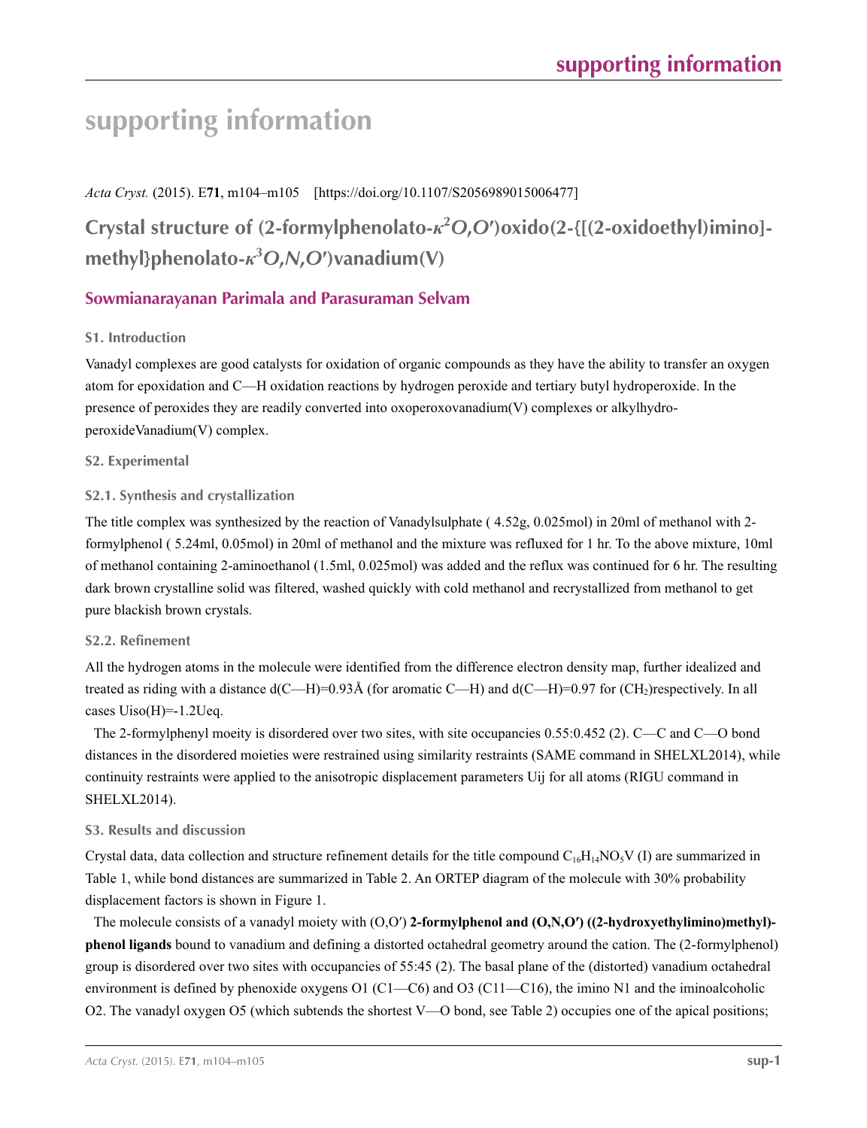# **supporting information**

*Acta Cryst.* (2015). E**71**, m104–m105 [https://doi.org/10.1107/S2056989015006477]

**Crystal structure of (2-formylphenolato-***κ***<sup>2</sup>** *O***,***O***′)oxido(2-{[(2-oxidoethyl)imino] methyl}phenolato-***κ***<sup>3</sup>** *O***,***N***,***O***′)vanadium(V)**

# **Sowmianarayanan Parimala and Parasuraman Selvam**

# **S1. Introduction**

Vanadyl complexes are good catalysts for oxidation of organic compounds as they have the ability to transfer an oxygen atom for epoxidation and C—H oxidation reactions by hydrogen peroxide and tertiary butyl hydroperoxide. In the presence of peroxides they are readily converted into oxoperoxovanadium(V) complexes or alkylhydroperoxideVanadium(V) complex.

# **S2. Experimental**

# **S2.1. Synthesis and crystallization**

The title complex was synthesized by the reaction of Vanadylsulphate ( 4.52g, 0.025mol) in 20ml of methanol with 2 formylphenol ( 5.24ml, 0.05mol) in 20ml of methanol and the mixture was refluxed for 1 hr. To the above mixture, 10ml of methanol containing 2-aminoethanol (1.5ml, 0.025mol) was added and the reflux was continued for 6 hr. The resulting dark brown crystalline solid was filtered, washed quickly with cold methanol and recrystallized from methanol to get pure blackish brown crystals.

# **S2.2. Refinement**

All the hydrogen atoms in the molecule were identified from the difference electron density map, further idealized and treated as riding with a distance  $d(C-H)=0.93\text{\AA}$  (for aromatic C—H) and  $d(C-H)=0.97$  for  $(CH_2)$ respectively. In all cases  $Uiso(H)=1.2Ueq.$ 

The 2-formylphenyl moeity is disordered over two sites, with site occupancies 0.55:0.452 (2). C—C and C—O bond distances in the disordered moieties were restrained using similarity restraints (SAME command in SHELXL2014), while continuity restraints were applied to the anisotropic displacement parameters Uij for all atoms (RIGU command in SHELXL2014).

# **S3. Results and discussion**

Crystal data, data collection and structure refinement details for the title compound  $C_{16}H_{14}NO_5V$  (I) are summarized in Table 1, while bond distances are summarized in Table 2. An ORTEP diagram of the molecule with 30% probability displacement factors is shown in Figure 1.

The molecule consists of a vanadyl moiety with (O,O′) **2-formylphenol and (O,N,O′) ((2-hydroxyethylimino)methyl) phenol ligands** bound to vanadium and defining a distorted octahedral geometry around the cation. The (2-formylphenol) group is disordered over two sites with occupancies of 55:45 (2). The basal plane of the (distorted) vanadium octahedral environment is defined by phenoxide oxygens O1 (C1—C6) and O3 (C11—C16), the imino N1 and the iminoalcoholic O2. The vanadyl oxygen O5 (which subtends the shortest V—O bond, see Table 2) occupies one of the apical positions;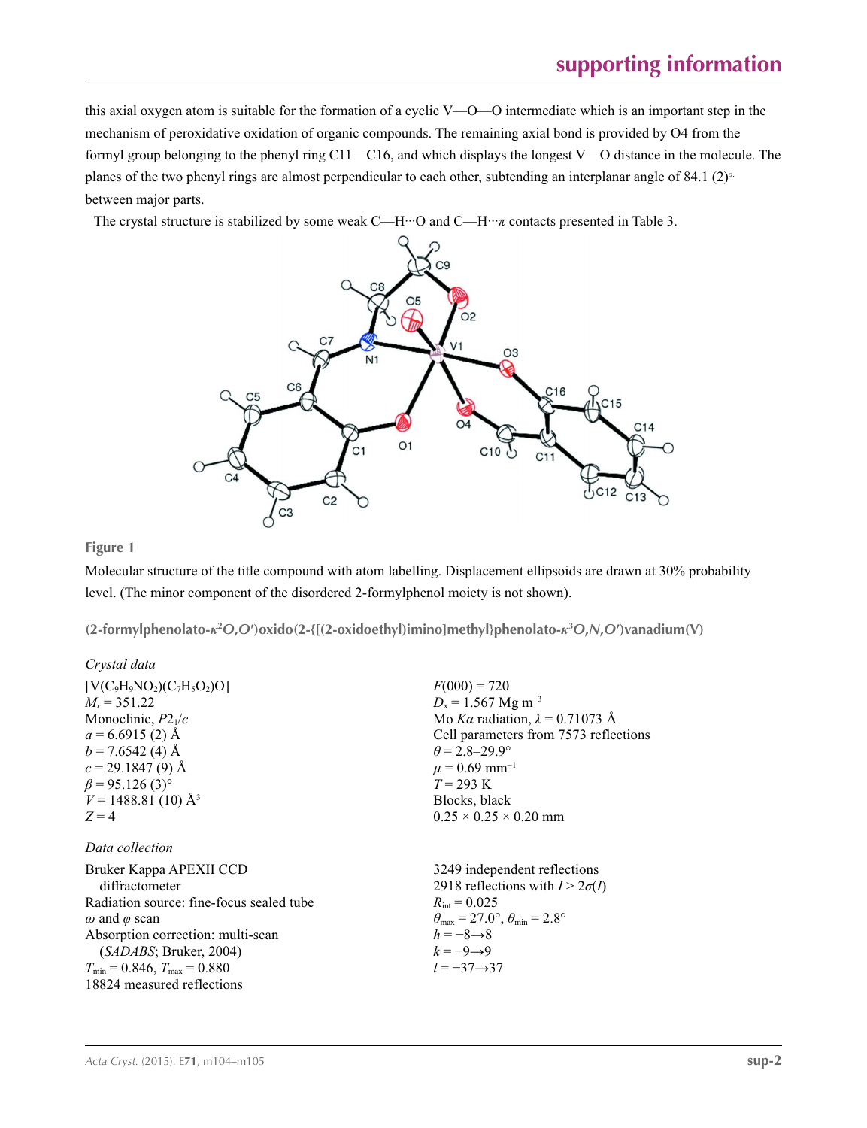this axial oxygen atom is suitable for the formation of a cyclic V—O—O intermediate which is an important step in the mechanism of peroxidative oxidation of organic compounds. The remaining axial bond is provided by O4 from the formyl group belonging to the phenyl ring C11—C16, and which displays the longest V—O distance in the molecule. The planes of the two phenyl rings are almost perpendicular to each other, subtending an interplanar angle of 84.1 (2)*<sup>ο</sup>*. between major parts.

The crystal structure is stabilized by some weak C—H···O and C—H···*π* contacts presented in Table 3.



# **Figure 1**

Molecular structure of the title compound with atom labelling. Displacement ellipsoids are drawn at 30% probability level. (The minor component of the disordered 2-formylphenol moiety is not shown).

**(2-formylphenolato-***κ***<sup>2</sup>** *O***,***O***′)oxido(2-{[(2-oxidoethyl)imino]methyl}phenolato-***κ***<sup>3</sup>** *O***,***N***,***O***′)vanadium(V)** 

| Crystal data                                                                                        |                                                          |                              |
|-----------------------------------------------------------------------------------------------------|----------------------------------------------------------|------------------------------|
| [V(C <sub>9</sub> H <sub>9</sub> NO <sub>2</sub> )(C <sub>7</sub> H <sub>5</sub> O <sub>2</sub> )O] | $F(000) = 720$                                           |                              |
| $M_r = 351.22$                                                                                      | $D_x = 1.567$ Mg m <sup>-3</sup>                         |                              |
| Monoclinic, $P_{21}/c$                                                                              | Mo $K\alpha$ radiation, $\lambda = 0.71073$ Å            |                              |
| $a = 6.6915$ (2) Å                                                                                  | Cell parameters from 7573 reflections                    |                              |
| $b = 7.6542$ (4) Å                                                                                  | $\theta = 2.8-29.9^\circ$                                |                              |
| $c = 29.1847$ (9) Å                                                                                 | $H = 0.69$ mm <sup>-1</sup>                              |                              |
| $\beta = 95.126$ (3) <sup>°</sup>                                                                   | $H = 0.69$ mm <sup>-1</sup>                              |                              |
| $F = 293$ K                                                                                         | Blocks, black                                            |                              |
| $Z = 4$                                                                                             | $0.25 \times 0.25 \times 0.20$ mm                        |                              |
| Data collection                                                                                     | Bruker Kappa APpa APEXII CCD                             | 3249 independent reflections |
| diffractions difference                                                                             | 2918 reflections with $I > 2\sigma(I)$                   |                              |
| radiation source: fine-focus sealed tube                                                            | $R_{int} = 0.025$                                        |                              |
| $\omega$ and $\phi$ scan                                                                            | $\theta_{max} = 27.0^\circ$ , $\theta_{min} = 2.8^\circ$ |                              |
| Absorption correction: multi-scan                                                                   | $h = -8 \rightarrow 8$                                   |                              |
| $(SADABS, Bruker, 2004)$                                                                            |                                                          |                              |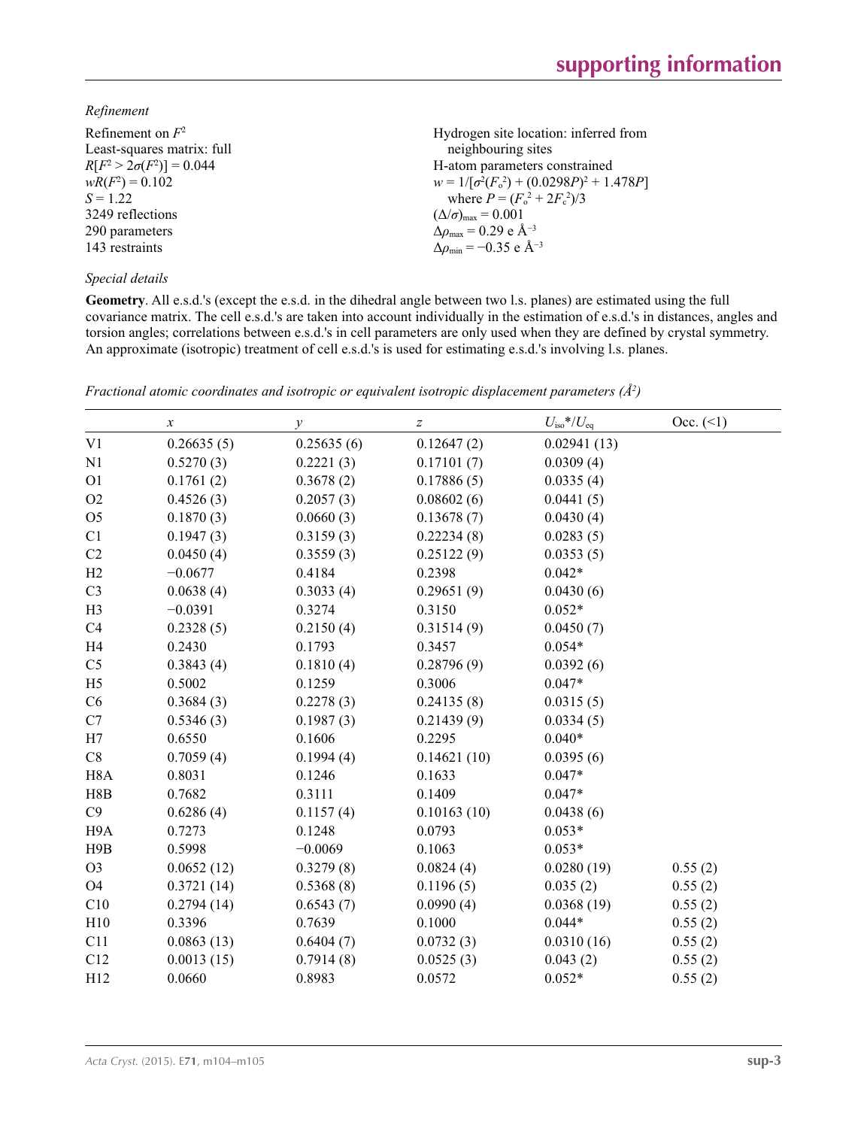# *Refinement*

| Refinement on $F^2$             | Hydrogen site location: inferred from             |
|---------------------------------|---------------------------------------------------|
| Least-squares matrix: full      | neighbouring sites                                |
| $R[F^2 > 2\sigma(F^2)] = 0.044$ | H-atom parameters constrained                     |
| $wR(F^2) = 0.102$               | $w = 1/[\sigma^2(F_0^2) + (0.0298P)^2 + 1.478P]$  |
| $S = 1.22$                      | where $P = (F_o^2 + 2F_c^2)/3$                    |
| 3249 reflections                | $(\Delta/\sigma)_{\text{max}} = 0.001$            |
| 290 parameters                  | $\Delta\rho_{\text{max}} = 0.29 \text{ e A}^{-3}$ |
| 143 restraints                  | $\Delta\rho_{\rm min} = -0.35$ e Å <sup>-3</sup>  |
|                                 |                                                   |

# *Special details*

**Geometry**. All e.s.d.'s (except the e.s.d. in the dihedral angle between two l.s. planes) are estimated using the full covariance matrix. The cell e.s.d.'s are taken into account individually in the estimation of e.s.d.'s in distances, angles and torsion angles; correlations between e.s.d.'s in cell parameters are only used when they are defined by crystal symmetry. An approximate (isotropic) treatment of cell e.s.d.'s is used for estimating e.s.d.'s involving l.s. planes.

|                  | $\boldsymbol{\mathcal{X}}$ | $\mathcal{Y}$ | Z           | $U_{\rm iso}$ */ $U_{\rm eq}$ | Occ. (2) |
|------------------|----------------------------|---------------|-------------|-------------------------------|----------|
| V <sub>1</sub>   | 0.26635(5)                 | 0.25635(6)    | 0.12647(2)  | 0.02941(13)                   |          |
| N1               | 0.5270(3)                  | 0.2221(3)     | 0.17101(7)  | 0.0309(4)                     |          |
| O <sub>1</sub>   | 0.1761(2)                  | 0.3678(2)     | 0.17886(5)  | 0.0335(4)                     |          |
| O2               | 0.4526(3)                  | 0.2057(3)     | 0.08602(6)  | 0.0441(5)                     |          |
| O <sub>5</sub>   | 0.1870(3)                  | 0.0660(3)     | 0.13678(7)  | 0.0430(4)                     |          |
| C1               | 0.1947(3)                  | 0.3159(3)     | 0.22234(8)  | 0.0283(5)                     |          |
| C <sub>2</sub>   | 0.0450(4)                  | 0.3559(3)     | 0.25122(9)  | 0.0353(5)                     |          |
| H2               | $-0.0677$                  | 0.4184        | 0.2398      | $0.042*$                      |          |
| C <sub>3</sub>   | 0.0638(4)                  | 0.3033(4)     | 0.29651(9)  | 0.0430(6)                     |          |
| H <sub>3</sub>   | $-0.0391$                  | 0.3274        | 0.3150      | $0.052*$                      |          |
| C <sub>4</sub>   | 0.2328(5)                  | 0.2150(4)     | 0.31514(9)  | 0.0450(7)                     |          |
| H <sub>4</sub>   | 0.2430                     | 0.1793        | 0.3457      | $0.054*$                      |          |
| C <sub>5</sub>   | 0.3843(4)                  | 0.1810(4)     | 0.28796(9)  | 0.0392(6)                     |          |
| H <sub>5</sub>   | 0.5002                     | 0.1259        | 0.3006      | $0.047*$                      |          |
| C6               | 0.3684(3)                  | 0.2278(3)     | 0.24135(8)  | 0.0315(5)                     |          |
| C7               | 0.5346(3)                  | 0.1987(3)     | 0.21439(9)  | 0.0334(5)                     |          |
| H7               | 0.6550                     | 0.1606        | 0.2295      | $0.040*$                      |          |
| C8               | 0.7059(4)                  | 0.1994(4)     | 0.14621(10) | 0.0395(6)                     |          |
| H <sub>8</sub> A | 0.8031                     | 0.1246        | 0.1633      | $0.047*$                      |          |
| H8B              | 0.7682                     | 0.3111        | 0.1409      | $0.047*$                      |          |
| C9               | 0.6286(4)                  | 0.1157(4)     | 0.10163(10) | 0.0438(6)                     |          |
| H <sub>9</sub> A | 0.7273                     | 0.1248        | 0.0793      | $0.053*$                      |          |
| H9B              | 0.5998                     | $-0.0069$     | 0.1063      | $0.053*$                      |          |
| O <sub>3</sub>   | 0.0652(12)                 | 0.3279(8)     | 0.0824(4)   | 0.0280(19)                    | 0.55(2)  |
| <b>O4</b>        | 0.3721(14)                 | 0.5368(8)     | 0.1196(5)   | 0.035(2)                      | 0.55(2)  |
| C10              | 0.2794(14)                 | 0.6543(7)     | 0.0990(4)   | 0.0368(19)                    | 0.55(2)  |
| H10              | 0.3396                     | 0.7639        | 0.1000      | $0.044*$                      | 0.55(2)  |
| C11              | 0.0863(13)                 | 0.6404(7)     | 0.0732(3)   | 0.0310(16)                    | 0.55(2)  |
| C12              | 0.0013(15)                 | 0.7914(8)     | 0.0525(3)   | 0.043(2)                      | 0.55(2)  |
| H12              | 0.0660                     | 0.8983        | 0.0572      | $0.052*$                      | 0.55(2)  |

*Fractional atomic coordinates and isotropic or equivalent isotropic displacement parameters (Å<sup>2</sup>)*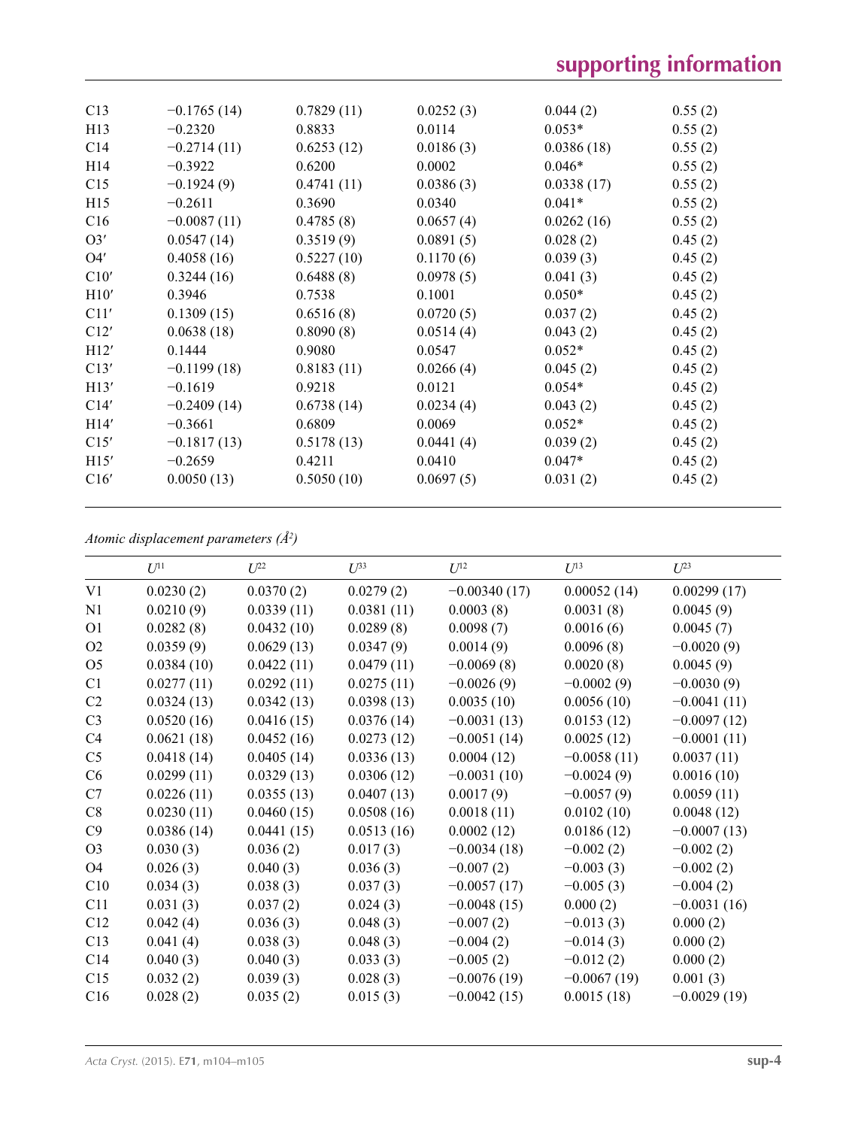| C13             | $-0.1765(14)$ | 0.7829(11) | 0.0252(3) | 0.044(2)   | 0.55(2) |  |
|-----------------|---------------|------------|-----------|------------|---------|--|
| H13             | $-0.2320$     | 0.8833     | 0.0114    | $0.053*$   | 0.55(2) |  |
| C <sub>14</sub> | $-0.2714(11)$ | 0.6253(12) | 0.0186(3) | 0.0386(18) | 0.55(2) |  |
| H <sub>14</sub> | $-0.3922$     | 0.6200     | 0.0002    | $0.046*$   | 0.55(2) |  |
| C15             | $-0.1924(9)$  | 0.4741(11) | 0.0386(3) | 0.0338(17) | 0.55(2) |  |
| H15             | $-0.2611$     | 0.3690     | 0.0340    | $0.041*$   | 0.55(2) |  |
| C16             | $-0.0087(11)$ | 0.4785(8)  | 0.0657(4) | 0.0262(16) | 0.55(2) |  |
| O3'             | 0.0547(14)    | 0.3519(9)  | 0.0891(5) | 0.028(2)   | 0.45(2) |  |
| O4'             | 0.4058(16)    | 0.5227(10) | 0.1170(6) | 0.039(3)   | 0.45(2) |  |
| C10'            | 0.3244(16)    | 0.6488(8)  | 0.0978(5) | 0.041(3)   | 0.45(2) |  |
| H10'            | 0.3946        | 0.7538     | 0.1001    | $0.050*$   | 0.45(2) |  |
| C11'            | 0.1309(15)    | 0.6516(8)  | 0.0720(5) | 0.037(2)   | 0.45(2) |  |
| C12'            | 0.0638(18)    | 0.8090(8)  | 0.0514(4) | 0.043(2)   | 0.45(2) |  |
| H12'            | 0.1444        | 0.9080     | 0.0547    | $0.052*$   | 0.45(2) |  |
| C13'            | $-0.1199(18)$ | 0.8183(11) | 0.0266(4) | 0.045(2)   | 0.45(2) |  |
| H13'            | $-0.1619$     | 0.9218     | 0.0121    | $0.054*$   | 0.45(2) |  |
| C14'            | $-0.2409(14)$ | 0.6738(14) | 0.0234(4) | 0.043(2)   | 0.45(2) |  |
| H14'            | $-0.3661$     | 0.6809     | 0.0069    | $0.052*$   | 0.45(2) |  |
| C15'            | $-0.1817(13)$ | 0.5178(13) | 0.0441(4) | 0.039(2)   | 0.45(2) |  |
| H15'            | $-0.2659$     | 0.4211     | 0.0410    | $0.047*$   | 0.45(2) |  |
| C16'            | 0.0050(13)    | 0.5050(10) | 0.0697(5) | 0.031(2)   | 0.45(2) |  |
|                 |               |            |           |            |         |  |

*Atomic displacement parameters (Å2 )*

|                | $U^{11}$   | $U^{22}$   | $U^{33}$   | $U^{12}$       | $U^{13}$      | $U^{23}$      |
|----------------|------------|------------|------------|----------------|---------------|---------------|
| V <sub>1</sub> | 0.0230(2)  | 0.0370(2)  | 0.0279(2)  | $-0.00340(17)$ | 0.00052(14)   | 0.00299(17)   |
| N1             | 0.0210(9)  | 0.0339(11) | 0.0381(11) | 0.0003(8)      | 0.0031(8)     | 0.0045(9)     |
| O <sub>1</sub> | 0.0282(8)  | 0.0432(10) | 0.0289(8)  | 0.0098(7)      | 0.0016(6)     | 0.0045(7)     |
| O <sub>2</sub> | 0.0359(9)  | 0.0629(13) | 0.0347(9)  | 0.0014(9)      | 0.0096(8)     | $-0.0020(9)$  |
| O <sub>5</sub> | 0.0384(10) | 0.0422(11) | 0.0479(11) | $-0.0069(8)$   | 0.0020(8)     | 0.0045(9)     |
| C1             | 0.0277(11) | 0.0292(11) | 0.0275(11) | $-0.0026(9)$   | $-0.0002(9)$  | $-0.0030(9)$  |
| C2             | 0.0324(13) | 0.0342(13) | 0.0398(13) | 0.0035(10)     | 0.0056(10)    | $-0.0041(11)$ |
| C <sub>3</sub> | 0.0520(16) | 0.0416(15) | 0.0376(14) | $-0.0031(13)$  | 0.0153(12)    | $-0.0097(12)$ |
| C4             | 0.0621(18) | 0.0452(16) | 0.0273(12) | $-0.0051(14)$  | 0.0025(12)    | $-0.0001(11)$ |
| C <sub>5</sub> | 0.0418(14) | 0.0405(14) | 0.0336(13) | 0.0004(12)     | $-0.0058(11)$ | 0.0037(11)    |
| C6             | 0.0299(11) | 0.0329(13) | 0.0306(12) | $-0.0031(10)$  | $-0.0024(9)$  | 0.0016(10)    |
| C7             | 0.0226(11) | 0.0355(13) | 0.0407(13) | 0.0017(9)      | $-0.0057(9)$  | 0.0059(11)    |
| C8             | 0.0230(11) | 0.0460(15) | 0.0508(16) | 0.0018(11)     | 0.0102(10)    | 0.0048(12)    |
| C9             | 0.0386(14) | 0.0441(15) | 0.0513(16) | 0.0002(12)     | 0.0186(12)    | $-0.0007(13)$ |
| O <sub>3</sub> | 0.030(3)   | 0.036(2)   | 0.017(3)   | $-0.0034(18)$  | $-0.002(2)$   | $-0.002(2)$   |
| O <sub>4</sub> | 0.026(3)   | 0.040(3)   | 0.036(3)   | $-0.007(2)$    | $-0.003(3)$   | $-0.002(2)$   |
| C10            | 0.034(3)   | 0.038(3)   | 0.037(3)   | $-0.0057(17)$  | $-0.005(3)$   | $-0.004(2)$   |
| C11            | 0.031(3)   | 0.037(2)   | 0.024(3)   | $-0.0048(15)$  | 0.000(2)      | $-0.0031(16)$ |
| C12            | 0.042(4)   | 0.036(3)   | 0.048(3)   | $-0.007(2)$    | $-0.013(3)$   | 0.000(2)      |
| C13            | 0.041(4)   | 0.038(3)   | 0.048(3)   | $-0.004(2)$    | $-0.014(3)$   | 0.000(2)      |
| C14            | 0.040(3)   | 0.040(3)   | 0.033(3)   | $-0.005(2)$    | $-0.012(2)$   | 0.000(2)      |
| C15            | 0.032(2)   | 0.039(3)   | 0.028(3)   | $-0.0076(19)$  | $-0.0067(19)$ | 0.001(3)      |
| C16            | 0.028(2)   | 0.035(2)   | 0.015(3)   | $-0.0042(15)$  | 0.0015(18)    | $-0.0029(19)$ |
|                |            |            |            |                |               |               |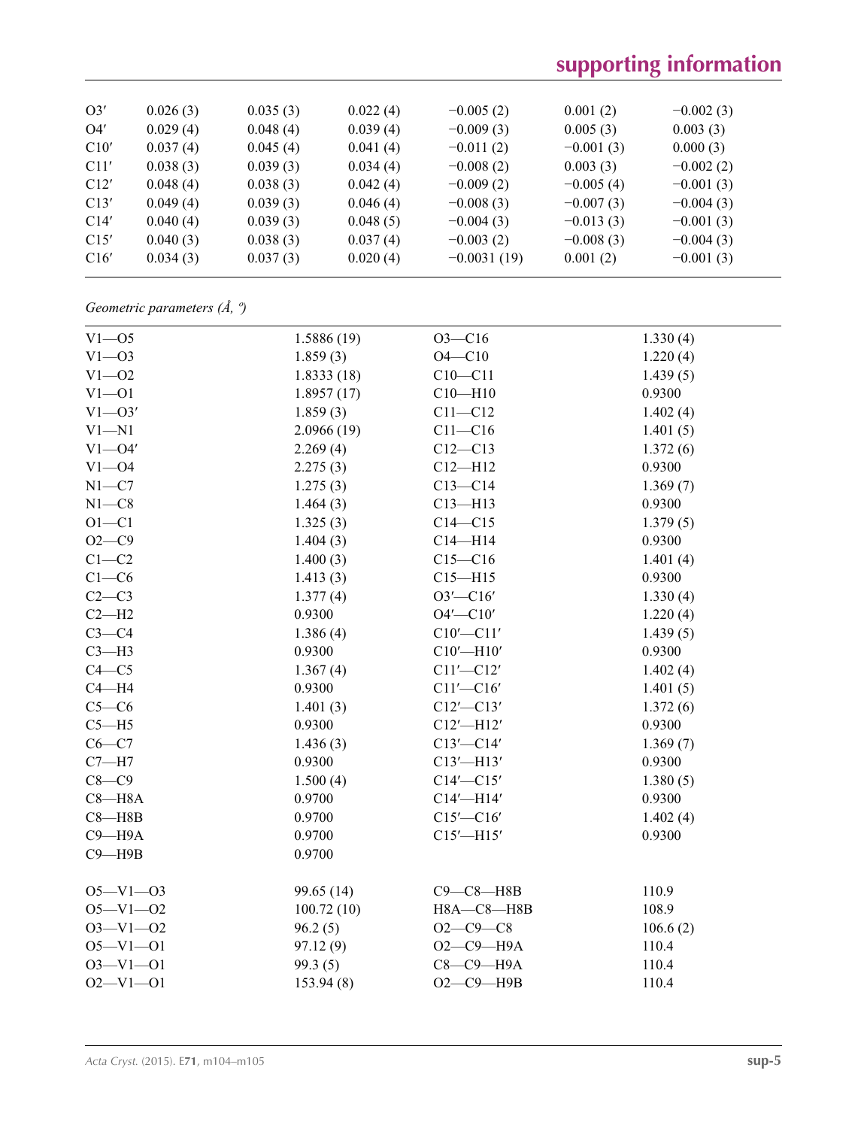# **supporting information**

| O3'  | 0.026(3) | 0.035(3) | 0.022(4) | $-0.005(2)$   | 0.001(2)    | $-0.002(3)$ |  |
|------|----------|----------|----------|---------------|-------------|-------------|--|
| O4'  | 0.029(4) | 0.048(4) | 0.039(4) | $-0.009(3)$   | 0.005(3)    | 0.003(3)    |  |
| C10' | 0.037(4) | 0.045(4) | 0.041(4) | $-0.011(2)$   | $-0.001(3)$ | 0.000(3)    |  |
| C11' | 0.038(3) | 0.039(3) | 0.034(4) | $-0.008(2)$   | 0.003(3)    | $-0.002(2)$ |  |
| C12' | 0.048(4) | 0.038(3) | 0.042(4) | $-0.009(2)$   | $-0.005(4)$ | $-0.001(3)$ |  |
| C13' | 0.049(4) | 0.039(3) | 0.046(4) | $-0.008(3)$   | $-0.007(3)$ | $-0.004(3)$ |  |
| C14' | 0.040(4) | 0.039(3) | 0.048(5) | $-0.004(3)$   | $-0.013(3)$ | $-0.001(3)$ |  |
| C15' | 0.040(3) | 0.038(3) | 0.037(4) | $-0.003(2)$   | $-0.008(3)$ | $-0.004(3)$ |  |
| C16' | 0.034(3) | 0.037(3) | 0.020(4) | $-0.0031(19)$ | 0.001(2)    | $-0.001(3)$ |  |
|      |          |          |          |               |             |             |  |

*Geometric parameters (Å, º)*

| $V1 - 05$      | 1.5886(19) | $O3 - C16$      | 1.330(4) |
|----------------|------------|-----------------|----------|
| $V1 - 03$      | 1.859(3)   | $O4 - C10$      | 1.220(4) |
| $V1 - 02$      | 1.8333(18) | $C10 - C11$     | 1.439(5) |
| $V1 - 01$      | 1.8957(17) | $C10 - H10$     | 0.9300   |
| $V1 - O3'$     | 1.859(3)   | $C11 - C12$     | 1.402(4) |
| $V1 - N1$      | 2.0966(19) | $C11 - C16$     | 1.401(5) |
| $V1 - O4'$     | 2.269(4)   | $C12 - C13$     | 1.372(6) |
| $V1 - 04$      | 2.275(3)   | $C12 - H12$     | 0.9300   |
| $N1 - C7$      | 1.275(3)   | $C13-C14$       | 1.369(7) |
| $N1 - C8$      | 1.464(3)   | $C13 - H13$     | 0.9300   |
| $O1 - C1$      | 1.325(3)   | $C14 - C15$     | 1.379(5) |
| $O2-C9$        | 1.404(3)   | $C14 - H14$     | 0.9300   |
| $C1-C2$        | 1.400(3)   | $C15 - C16$     | 1.401(4) |
| $C1-C6$        | 1.413(3)   | $C15 - H15$     | 0.9300   |
| $C2-C3$        | 1.377(4)   | $O3'$ - $Cl6'$  | 1.330(4) |
| $C2-H2$        | 0.9300     | $O4'$ - $Cl0'$  | 1.220(4) |
| $C3-C4$        | 1.386(4)   | $C10'$ - $C11'$ | 1.439(5) |
| $C3-H3$        | 0.9300     | $C10'$ -H10'    | 0.9300   |
| $C4 - C5$      | 1.367(4)   | $C11'$ - $C12'$ | 1.402(4) |
| $C4 - H4$      | 0.9300     | $C11'$ - $C16'$ | 1.401(5) |
| $C5-C6$        | 1.401(3)   | $C12'$ - $C13'$ | 1.372(6) |
| $C5 - H5$      | 0.9300     | $C12'$ -H12'    | 0.9300   |
| $C6-C7$        | 1.436(3)   | $C13'$ - $C14'$ | 1.369(7) |
| $C7 - H7$      | 0.9300     | $C13'$ -H13'    | 0.9300   |
| $C8-C9$        | 1.500(4)   | $C14'$ - $C15'$ | 1.380(5) |
| $C8 - H8A$     | 0.9700     | $C14'$ -H14'    | 0.9300   |
| $C8 - H8B$     | 0.9700     | $C15'$ - $C16'$ | 1.402(4) |
| $C9 - H9A$     | 0.9700     | $C15'$ -H15'    | 0.9300   |
| $C9 - H9B$     | 0.9700     |                 |          |
|                |            |                 |          |
| $O5 - V1 - O3$ | 99.65 (14) | $C9-C8-H8B$     | 110.9    |
| $O5 - V1 - O2$ | 100.72(10) | H8A-C8-H8B      | 108.9    |
| $O3 - V1 - O2$ | 96.2(5)    | $O2-C9-C8$      | 106.6(2) |
| $O5 - V1 - O1$ | 97.12(9)   | $O2-C9$ -H9A    | 110.4    |
| $O3 - V1 - O1$ | 99.3(5)    | $C8-C9-H9A$     | 110.4    |
| $O2 - V1 - O1$ | 153.94(8)  | $O2-C9$ -H9B    | 110.4    |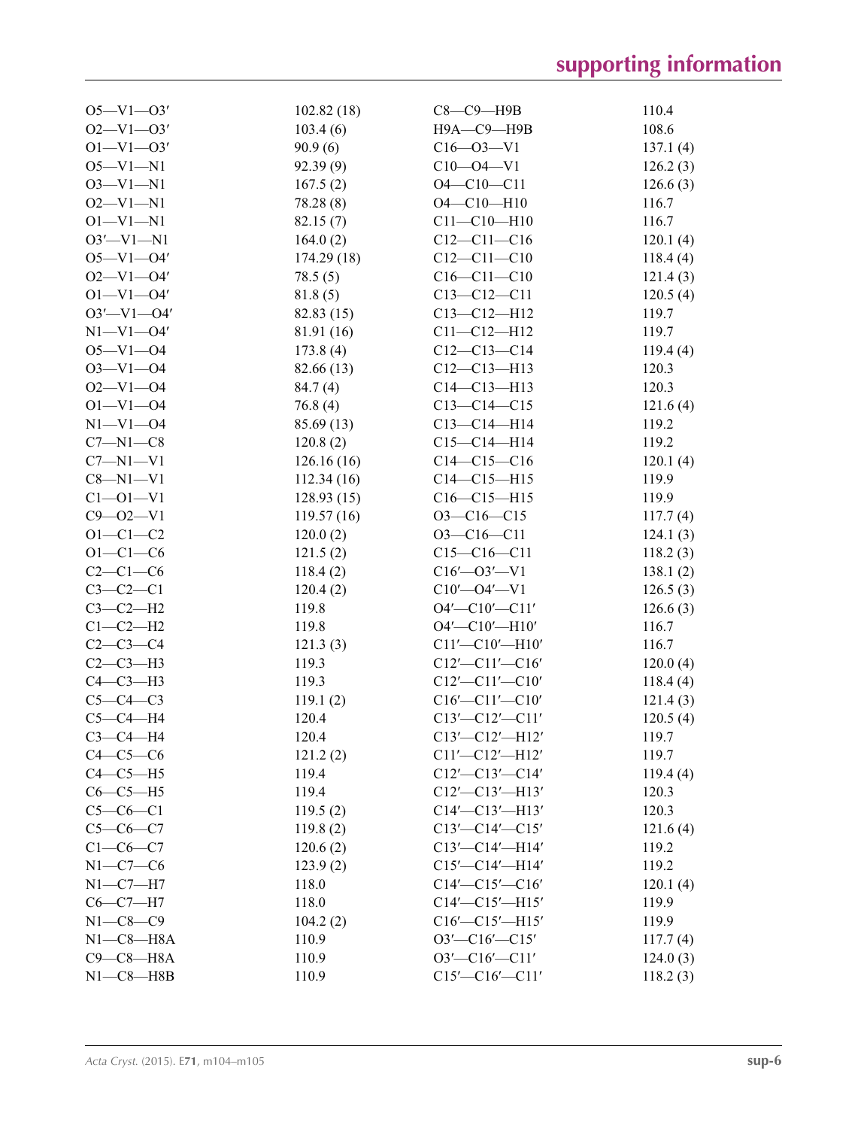| $O5 - V1 - O3'$  | 102.82(18) | $C8-C9$ —H9B             | 110.4    |
|------------------|------------|--------------------------|----------|
| $O2 - V1 - O3'$  | 103.4(6)   | Н9А-С9-Н9В               | 108.6    |
| $O1 - V1 - O3'$  | 90.9(6)    | $C16 - 03 - V1$          | 137.1(4) |
| $O5 - V1 - N1$   | 92.39(9)   | $C10 - 04 - V1$          | 126.2(3) |
| $O3 - V1 - N1$   | 167.5(2)   | $O4 - C10 - C11$         | 126.6(3) |
| $O2 - V1 - N1$   | 78.28(8)   | $O4 - C10 - H10$         | 116.7    |
| $O1 - VI - NI$   | 82.15(7)   | $C11 - C10 - H10$        | 116.7    |
| $O3'$ -V1-N1     | 164.0(2)   | $C12-C11-C16$            | 120.1(4) |
| $O5 - V1 - O4'$  | 174.29(18) | $C12 - C11 - C10$        | 118.4(4) |
| $O2 - VI - O4'$  | 78.5(5)    | $C16 - C11 - C10$        | 121.4(3) |
| $O1 - V1 - O4'$  | 81.8(5)    | $C13 - C12 - C11$        | 120.5(4) |
| $O3'$ -V1- $O4'$ | 82.83 (15) | $C13 - C12 - H12$        | 119.7    |
| $N1 - V1 - 04'$  | 81.91 (16) | $C11 - C12 - H12$        | 119.7    |
| $O5 - V1 - O4$   | 173.8(4)   | $C12-C13-C14$            | 119.4(4) |
| $O3 - V1 - O4$   | 82.66 (13) | $C12-C13-H13$            | 120.3    |
| $O2 - V1 - O4$   | 84.7(4)    | $C14 - C13 - H13$        | 120.3    |
| $O1 - V1 - O4$   | 76.8(4)    | $C13 - C14 - C15$        | 121.6(4) |
| $N1 - V1 - 04$   | 85.69 (13) | $C13 - C14 - H14$        | 119.2    |
| $C7 - N1 - C8$   | 120.8(2)   | $C15 - C14 - H14$        | 119.2    |
| $C7 - N1 - V1$   | 126.16(16) | $C14 - C15 - C16$        | 120.1(4) |
| $C8 - N1 - V1$   | 112.34(16) | $C14 - C15 - H15$        | 119.9    |
| $C1 - 01 - V1$   | 128.93(15) | $C16 - C15 - H15$        | 119.9    |
| $C9 - 02 - V1$   | 119.57(16) | $O3-C16-C15$             | 117.7(4) |
| $O1 - C1 - C2$   | 120.0(2)   | $O3 - C16 - C11$         | 124.1(3) |
| $O1 - C1 - C6$   | 121.5(2)   | $C15-C16-C11$            | 118.2(3) |
| $C2-C1-C6$       | 118.4(2)   | $C16'$ — $O3'$ —V1       | 138.1(2) |
| $C3-C2-C1$       | 120.4(2)   | $C10'$ — $O4'$ — $V1$    | 126.5(3) |
| $C3-C2-H2$       | 119.8      | $O4'$ - $Cl0'$ - $Cl1'$  | 126.6(3) |
| $C1-C2-H2$       | 119.8      | $O4'$ - $Cl0'$ - $H10'$  | 116.7    |
| $C2-C3-C4$       | 121.3(3)   | $Cl1'$ - $Cl0'$ - $H10'$ | 116.7    |
| $C2-C3-H3$       | 119.3      | $C12'$ - $C11'$ - $C16'$ | 120.0(4) |
| $C4-C3-H3$       | 119.3      | $C12' - C11' - C10'$     | 118.4(4) |
| $C5-C4-C3$       | 119.1(2)   | $C16'$ - $C11'$ - $C10'$ | 121.4(3) |
| $C5-C4-H4$       | 120.4      | $C13'$ - $C12'$ - $C11'$ | 120.5(4) |
| $C3-C4-H4$       | 120.4      | $C13' - C12' - H12'$     | 119.7    |
| $C4-C5-C6$       | 121.2(2)   | $C11'$ - $C12'$ - $H12'$ | 119.7    |
| $C4-C5-H5$       | 119.4      | $C12'$ - $C13'$ - $C14'$ | 119.4(4) |
| $C6-C5-H5$       | 119.4      | $C12' - C13' - H13'$     | 120.3    |
| $C5-C6-C1$       | 119.5(2)   | $C14'$ - $C13'$ - $H13'$ | 120.3    |
| $C5 - C6 - C7$   | 119.8(2)   | $C13'$ - $C14'$ - $C15'$ | 121.6(4) |
| $C1-C6-C7$       | 120.6(2)   | $C13'$ - $C14'$ - $H14'$ | 119.2    |
| $N1-C7-C6$       | 123.9(2)   | C15'-C14'-H14'           | 119.2    |
| $N1-C7-H7$       | 118.0      | $C14'$ - $C15'$ - $C16'$ | 120.1(4) |
| $C6-C7-H7$       | 118.0      | $C14'$ - $C15'$ - $H15'$ | 119.9    |
| $N1 - C8 - C9$   | 104.2(2)   | $C16'$ - $C15'$ - $H15'$ | 119.9    |
| $N1-C8-H8A$      | 110.9      | $O3'$ - $Cl6'$ - $Cl5'$  | 117.7(4) |
| $C9-C8-H8A$      | 110.9      | $O3'$ - $Cl6'$ - $Cl1'$  | 124.0(3) |
| $N1-C8 - H8B$    | 110.9      | $C15'$ - $C16'$ - $C11'$ | 118.2(3) |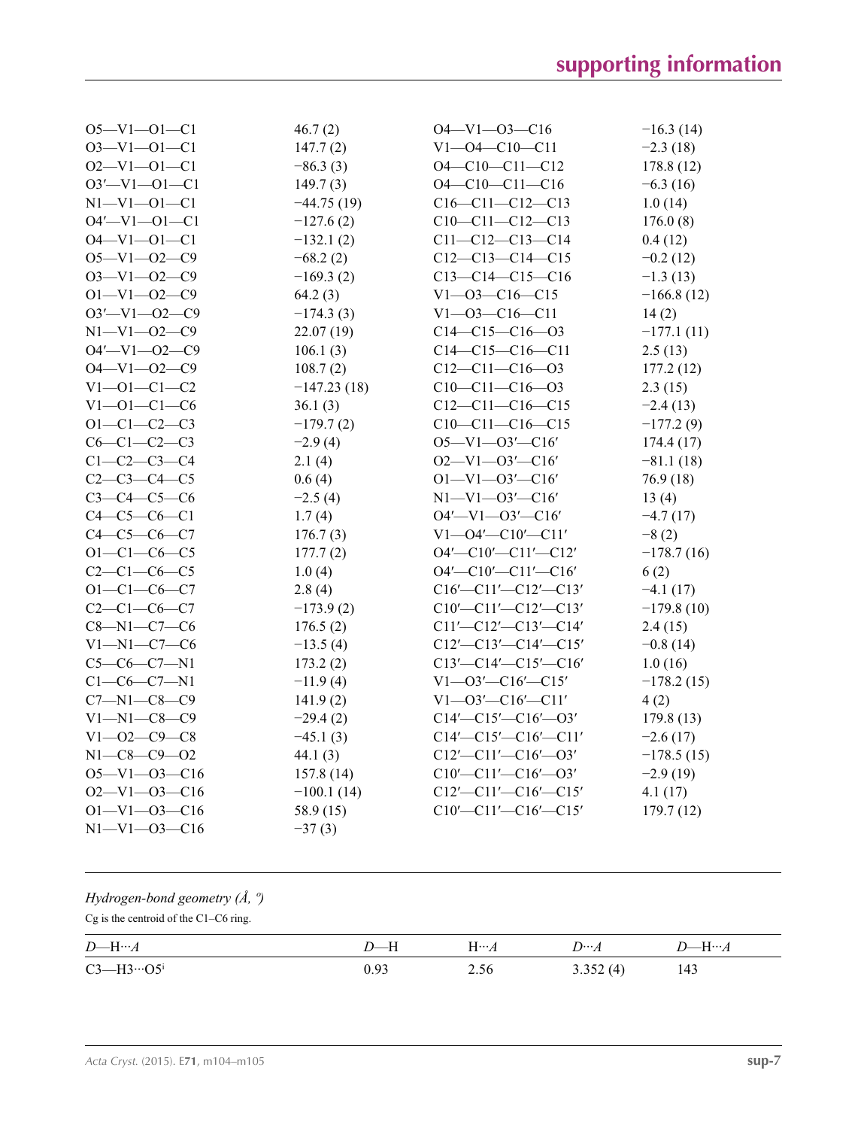| $O5 - V1 - O1 - C1$  | 46.7(2)       | $O4 - V1 - O3 - C16$              | $-16.3(14)$  |
|----------------------|---------------|-----------------------------------|--------------|
| $O3 - V1 - O1 - C1$  | 147.7(2)      | $V1 - 04 - C10 - C11$             | $-2.3(18)$   |
| $O2 - V1 - O1 - C1$  | $-86.3(3)$    | $O4 - C10 - C11 - C12$            | 178.8(12)    |
| $O3'$ -V1 -O1 - C1   | 149.7(3)      | $O4 - C10 - C11 - C16$            | $-6.3(16)$   |
| $N1 - V1 - 01 - C1$  | $-44.75(19)$  | $C16-C11-C12-C13$                 | 1.0(14)      |
| $O4'$ -V1 -O1 - C1   | $-127.6(2)$   | $C10-C11-C12-C13$                 | 176.0(8)     |
| $O4 - V1 - O1 - C1$  | $-132.1(2)$   | $C11 - C12 - C13 - C14$           | 0.4(12)      |
| $O5 - V1 - O2 - C9$  | $-68.2(2)$    | $C12-C13-C14-C15$                 | $-0.2(12)$   |
| $O3 - V1 - O2 - C9$  | $-169.3(2)$   | $C13-C14-C15-C16$                 | $-1.3(13)$   |
| $O1 - V1 - O2 - C9$  | 64.2(3)       | $V1 - 03 - C16 - C15$             | $-166.8(12)$ |
| $O3' - V1 - O2 - C9$ | $-174.3(3)$   | $V1 - 03 - C16 - C11$             | 14(2)        |
| $N1 - V1 - 02 - C9$  | 22.07 (19)    | $C14-C15-C16-03$                  | $-177.1(11)$ |
| $O4' - V1 - O2 - C9$ | 106.1(3)      | $C14-C15-C16-C11$                 | 2.5(13)      |
| $O4 - V1 - O2 - C9$  | 108.7(2)      | $C12-C11-C16-03$                  | 177.2(12)    |
| $V1 - 01 - C1 - C2$  | $-147.23(18)$ | $C10-C11-C16-03$                  | 2.3(15)      |
| $V1 - 01 - C1 - C6$  | 36.1(3)       | $C12-C11-C16-C15$                 | $-2.4(13)$   |
| $O1 - C1 - C2 - C3$  | $-179.7(2)$   | $C10-C11-C16-C15$                 | $-177.2(9)$  |
| $C6 - C1 - C2 - C3$  | $-2.9(4)$     | $O5 - V1 - O3' - C16'$            | 174.4(17)    |
| $C1 - C2 - C3 - C4$  | 2.1(4)        | $O2 - V1 - O3' - C16'$            | $-81.1(18)$  |
| $C2 - C3 - C4 - C5$  | 0.6(4)        | $O1 - V1 - O3' - C16'$            | 76.9 (18)    |
| $C3 - C4 - C5 - C6$  | $-2.5(4)$     | $N1 - V1 - 03' - C16'$            | 13(4)        |
| $C4 - C5 - C6 - C1$  | 1.7(4)        | $O4'$ —V1—O3 $'$ —C16'            | $-4.7(17)$   |
| $C4 - C5 - C6 - C7$  | 176.7(3)      | $V1 - O4' - C10' - C11'$          | $-8(2)$      |
| $O1 - C1 - C6 - C5$  | 177.7(2)      | O4'-C10'-C11'-C12'                | $-178.7(16)$ |
| $C2 - C1 - C6 - C5$  | 1.0(4)        | O4'-C10'-C11'-C16'                | 6(2)         |
| $O1 - C1 - C6 - C7$  | 2.8(4)        | $C16'$ - $C11'$ - $C12'$ - $C13'$ | $-4.1(17)$   |
| $C2 - C1 - C6 - C7$  | $-173.9(2)$   | $C10'$ - $C11'$ - $C12'$ - $C13'$ | $-179.8(10)$ |
| $C8 - N1 - C7 - C6$  | 176.5(2)      | $C11'$ - $C12'$ - $C13'$ - $C14'$ | 2.4(15)      |
| $V1 - N1 - C7 - C6$  | $-13.5(4)$    | $C12'$ - $C13'$ - $C14'$ - $C15'$ | $-0.8(14)$   |
| $C5-C6-C7-N1$        | 173.2(2)      | $C13'$ — $C14'$ — $C15'$ — $C16'$ | 1.0(16)      |
| $C1 - C6 - C7 - N1$  | $-11.9(4)$    | $V1 - 03' - C16' - C15'$          | $-178.2(15)$ |
| $C7 - N1 - C8 - C9$  | 141.9(2)      | $V1 - 03' - C16' - C11'$          | 4(2)         |
| $V1 - N1 - C8 - C9$  | $-29.4(2)$    | $C14'$ - $C15'$ - $C16'$ - $O3'$  | 179.8(13)    |
| $V1 - 02 - C9 - C8$  | $-45.1(3)$    | $C14'$ - $C15'$ - $C16'$ - $C11'$ | $-2.6(17)$   |
| $N1 - C8 - C9 - O2$  | 44.1 $(3)$    | $C12'$ - $C11'$ - $C16'$ - $O3'$  | $-178.5(15)$ |
| $O5 - V1 - O3 - C16$ | 157.8(14)     | $C10'$ - $C11'$ - $C16'$ - $O3'$  | $-2.9(19)$   |
| $O2-V1-O3-C16$       | $-100.1(14)$  | $C12'$ - $C11'$ - $C16'$ - $C15'$ | 4.1(17)      |
| $O1 - V1 - O3 - C16$ | 58.9 (15)     | $C10'$ - $C11'$ - $C16'$ - $C15'$ | 179.7(12)    |
| $N1 - V1 - 03 - C16$ | $-37(3)$      |                                   |              |
|                      |               |                                   |              |

| Hydrogen-bond geometry $(\AA, \theta)$<br>$Cg$ is the centroid of the C1–C6 ring. |        |              |             |             |  |
|-----------------------------------------------------------------------------------|--------|--------------|-------------|-------------|--|
| $D$ —H… $A$                                                                       | $D$ —H | $H \cdots A$ | $D\cdots A$ | $D$ —H… $A$ |  |
| $C3 - H3 \cdot 05$                                                                | 0.93   | 2.56         | 3.352(4)    | 143         |  |